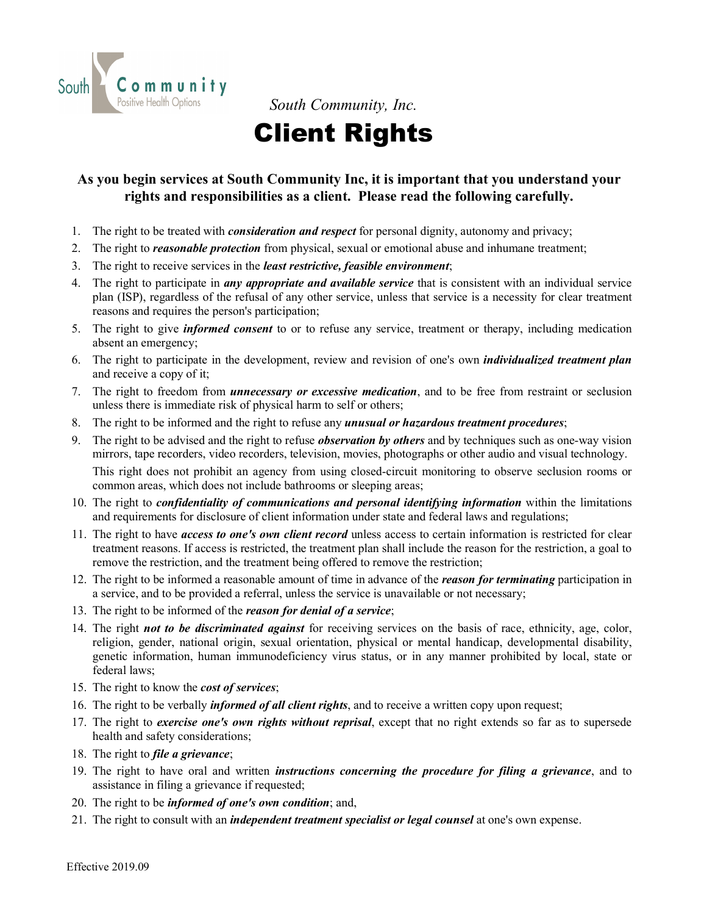

*South Community, Inc.*

# Client Rights

#### **As you begin services at South Community Inc, it is important that you understand your rights and responsibilities as a client. Please read the following carefully.**

- 1. The right to be treated with *consideration and respect* for personal dignity, autonomy and privacy;
- 2. The right to *reasonable protection* from physical, sexual or emotional abuse and inhumane treatment;
- 3. The right to receive services in the *least restrictive, feasible environment*;
- 4. The right to participate in *any appropriate and available service* that is consistent with an individual service plan (ISP), regardless of the refusal of any other service, unless that service is a necessity for clear treatment reasons and requires the person's participation;
- 5. The right to give *informed consent* to or to refuse any service, treatment or therapy, including medication absent an emergency;
- 6. The right to participate in the development, review and revision of one's own *individualized treatment plan* and receive a copy of it;
- 7. The right to freedom from *unnecessary or excessive medication*, and to be free from restraint or seclusion unless there is immediate risk of physical harm to self or others;
- 8. The right to be informed and the right to refuse any *unusual or hazardous treatment procedures*;
- 9. The right to be advised and the right to refuse *observation by others* and by techniques such as one-way vision mirrors, tape recorders, video recorders, television, movies, photographs or other audio and visual technology. This right does not prohibit an agency from using closed-circuit monitoring to observe seclusion rooms or common areas, which does not include bathrooms or sleeping areas;
- 10. The right to *confidentiality of communications and personal identifying information* within the limitations and requirements for disclosure of client information under state and federal laws and regulations;
- 11. The right to have *access to one's own client record* unless access to certain information is restricted for clear treatment reasons. If access is restricted, the treatment plan shall include the reason for the restriction, a goal to remove the restriction, and the treatment being offered to remove the restriction;
- 12. The right to be informed a reasonable amount of time in advance of the *reason for terminating* participation in a service, and to be provided a referral, unless the service is unavailable or not necessary;
- 13. The right to be informed of the *reason for denial of a service*;
- 14. The right *not to be discriminated against* for receiving services on the basis of race, ethnicity, age, color, religion, gender, national origin, sexual orientation, physical or mental handicap, developmental disability, genetic information, human immunodeficiency virus status, or in any manner prohibited by local, state or federal laws;
- 15. The right to know the *cost of services*;
- 16. The right to be verbally *informed of all client rights*, and to receive a written copy upon request;
- 17. The right to *exercise one's own rights without reprisal*, except that no right extends so far as to supersede health and safety considerations;
- 18. The right to *file a grievance*;
- 19. The right to have oral and written *instructions concerning the procedure for filing a grievance*, and to assistance in filing a grievance if requested;
- 20. The right to be *informed of one's own condition*; and,
- 21. The right to consult with an *independent treatment specialist or legal counsel* at one's own expense.